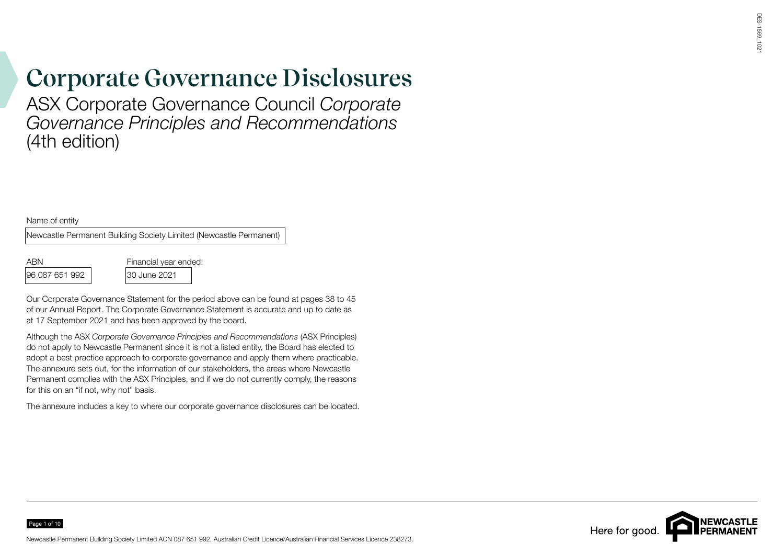## **Corporate Governance Disclosures**

ASX Corporate Governance Council *Corporate Governance Principles and Recommendations* (4th edition)

Name of entity

Newcastle Permanent Building Society Limited (Newcastle Permanent)

96 087 651 992 30 June 2021

Page 1 of 10

ABN Financial year ended:

Our Corporate Governance Statement for the period above can be found at pages 38 to 45 of our Annual Report. The Corporate Governance Statement is accurate and up to date as at 17 September 2021 and has been approved by the board.

Although the ASX *Corporate Governance Principles and Recommendations* (ASX Principles) do not apply to Newcastle Permanent since it is not a listed entity, the Board has elected to adopt a best practice approach to corporate governance and apply them where practicable. The annexure sets out, for the information of our stakeholders, the areas where Newcastle Permanent complies with the ASX Principles, and if we do not currently comply, the reasons for this on an "if not, why not" basis.

The annexure includes a key to where our corporate governance disclosures can be located.

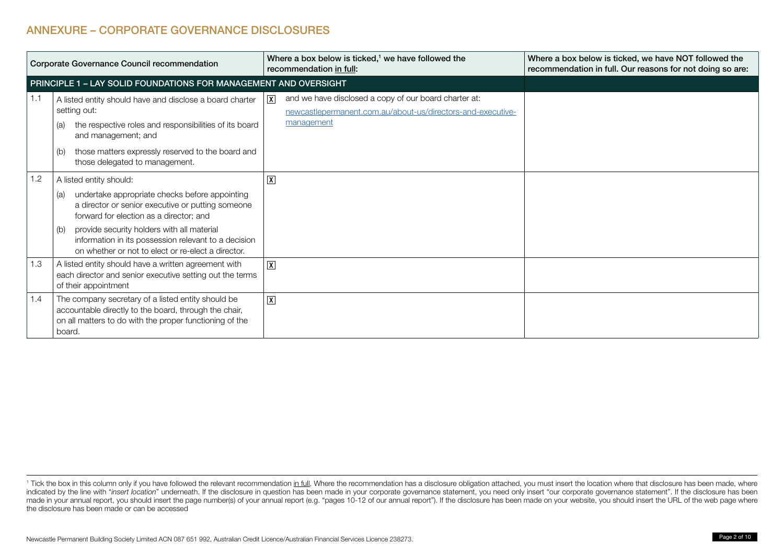## ANNEXURE – CORPORATE GOVERNANCE DISCLOSURES

| Corporate Governance Council recommendation |                                                                                                                                                                                                                                                                                                                                                     | Where a box below is ticked, <sup>1</sup> we have followed the<br>recommendation in full:                                                            | Where a box below is ticked, we have NOT followed the<br>recommendation in full. Our reasons for not doing so are: |
|---------------------------------------------|-----------------------------------------------------------------------------------------------------------------------------------------------------------------------------------------------------------------------------------------------------------------------------------------------------------------------------------------------------|------------------------------------------------------------------------------------------------------------------------------------------------------|--------------------------------------------------------------------------------------------------------------------|
|                                             | PRINCIPLE 1 - LAY SOLID FOUNDATIONS FOR MANAGEMENT AND OVERSIGHT                                                                                                                                                                                                                                                                                    |                                                                                                                                                      |                                                                                                                    |
| 1.1                                         | A listed entity should have and disclose a board charter<br>setting out:<br>the respective roles and responsibilities of its board<br>(a)<br>and management; and<br>those matters expressly reserved to the board and<br>(b)<br>those delegated to management.                                                                                      | and we have disclosed a copy of our board charter at:<br>$ \mathbf{X} $<br>newcastlepermanent.com.au/about-us/directors-and-executive-<br>management |                                                                                                                    |
| 1.2                                         | A listed entity should:<br>undertake appropriate checks before appointing<br>(a)<br>a director or senior executive or putting someone<br>forward for election as a director; and<br>provide security holders with all material<br>(b)<br>information in its possession relevant to a decision<br>on whether or not to elect or re-elect a director. | $\boxed{\mathsf{X}}$                                                                                                                                 |                                                                                                                    |
| 1.3                                         | A listed entity should have a written agreement with<br>each director and senior executive setting out the terms<br>of their appointment                                                                                                                                                                                                            | $ \mathbf{X} $                                                                                                                                       |                                                                                                                    |
| 1.4                                         | The company secretary of a listed entity should be<br>accountable directly to the board, through the chair,<br>on all matters to do with the proper functioning of the<br>board.                                                                                                                                                                    | $ \mathbf{X} $                                                                                                                                       |                                                                                                                    |

<sup>&</sup>lt;sup>1</sup> Tick the box in this column only if you have followed the relevant recommendation i<u>n full</u>. Where the recommendation has a disclosure obligation attached, you must insert the location where that disclosure has been ma indicated by the line with "insert location" underneath. If the disclosure in question has been made in your corporate governance statement, you need only insert "our corporate governance statement". If the disclosure has made in your annual report, you should insert the page number(s) of your annual report (e.g. "pages 10-12 of our annual report"). If the disclosure has been made on your website, you should insert the URL of the web page w the disclosure has been made or can be accessed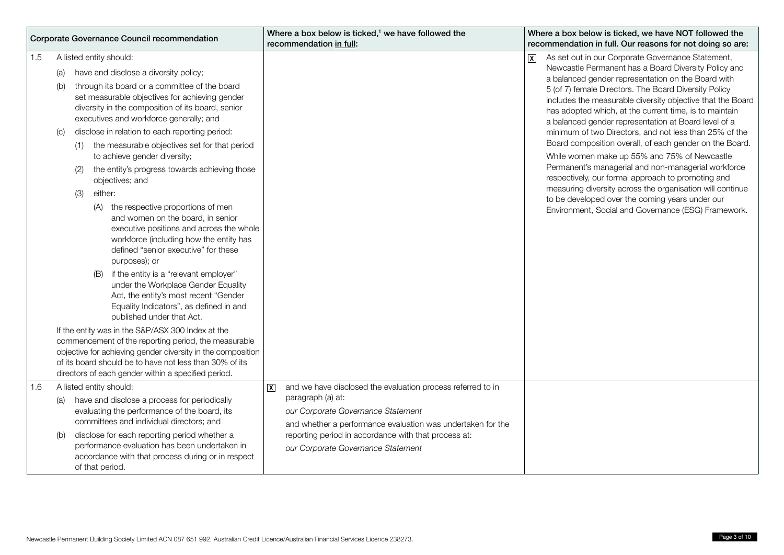| <b>Corporate Governance Council recommendation</b> |                                                                                                                                                                                                                                                                                                                                                                                                                                                                                                                                                                                                                                                                                                                                                                                                                                                                                                                                                                                                                                                                                                                                                                                                                                                                   | Where a box below is ticked, <sup>1</sup> we have followed the<br>recommendation in full:                                                                                                                                                                                                             | Where a box below is ticked, we have NOT followed the<br>recommendation in full. Our reasons for not doing so are:                                                                                                                                                                                                                                                                                                                                                                                                                                                                                                                                                                                                                                                                                                                                                                       |
|----------------------------------------------------|-------------------------------------------------------------------------------------------------------------------------------------------------------------------------------------------------------------------------------------------------------------------------------------------------------------------------------------------------------------------------------------------------------------------------------------------------------------------------------------------------------------------------------------------------------------------------------------------------------------------------------------------------------------------------------------------------------------------------------------------------------------------------------------------------------------------------------------------------------------------------------------------------------------------------------------------------------------------------------------------------------------------------------------------------------------------------------------------------------------------------------------------------------------------------------------------------------------------------------------------------------------------|-------------------------------------------------------------------------------------------------------------------------------------------------------------------------------------------------------------------------------------------------------------------------------------------------------|------------------------------------------------------------------------------------------------------------------------------------------------------------------------------------------------------------------------------------------------------------------------------------------------------------------------------------------------------------------------------------------------------------------------------------------------------------------------------------------------------------------------------------------------------------------------------------------------------------------------------------------------------------------------------------------------------------------------------------------------------------------------------------------------------------------------------------------------------------------------------------------|
| 1.5                                                | A listed entity should:<br>have and disclose a diversity policy;<br>(a)<br>through its board or a committee of the board<br>(b)<br>set measurable objectives for achieving gender<br>diversity in the composition of its board, senior<br>executives and workforce generally; and<br>disclose in relation to each reporting period:<br>(C)<br>(1) the measurable objectives set for that period<br>to achieve gender diversity;<br>the entity's progress towards achieving those<br>(2)<br>objectives; and<br>either:<br>(3)<br>(A) the respective proportions of men<br>and women on the board, in senior<br>executive positions and across the whole<br>workforce (including how the entity has<br>defined "senior executive" for these<br>purposes); or<br>if the entity is a "relevant employer"<br>(B)<br>under the Workplace Gender Equality<br>Act, the entity's most recent "Gender<br>Equality Indicators", as defined in and<br>published under that Act.<br>If the entity was in the S&P/ASX 300 Index at the<br>commencement of the reporting period, the measurable<br>objective for achieving gender diversity in the composition<br>of its board should be to have not less than 30% of its<br>directors of each gender within a specified period. |                                                                                                                                                                                                                                                                                                       | As set out in our Corporate Governance Statement,<br>$ {\boldsymbol x} $<br>Newcastle Permanent has a Board Diversity Policy and<br>a balanced gender representation on the Board with<br>5 (of 7) female Directors. The Board Diversity Policy<br>includes the measurable diversity objective that the Board<br>has adopted which, at the current time, is to maintain<br>a balanced gender representation at Board level of a<br>minimum of two Directors, and not less than 25% of the<br>Board composition overall, of each gender on the Board.<br>While women make up 55% and 75% of Newcastle<br>Permanent's managerial and non-managerial workforce<br>respectively, our formal approach to promoting and<br>measuring diversity across the organisation will continue<br>to be developed over the coming years under our<br>Environment, Social and Governance (ESG) Framework. |
| 1.6                                                | A listed entity should:<br>have and disclose a process for periodically<br>(a)<br>evaluating the performance of the board, its<br>committees and individual directors; and<br>disclose for each reporting period whether a<br>(b)<br>performance evaluation has been undertaken in<br>accordance with that process during or in respect<br>of that period.                                                                                                                                                                                                                                                                                                                                                                                                                                                                                                                                                                                                                                                                                                                                                                                                                                                                                                        | and we have disclosed the evaluation process referred to in<br>$\overline{X}$<br>paragraph (a) at:<br>our Corporate Governance Statement<br>and whether a performance evaluation was undertaken for the<br>reporting period in accordance with that process at:<br>our Corporate Governance Statement |                                                                                                                                                                                                                                                                                                                                                                                                                                                                                                                                                                                                                                                                                                                                                                                                                                                                                          |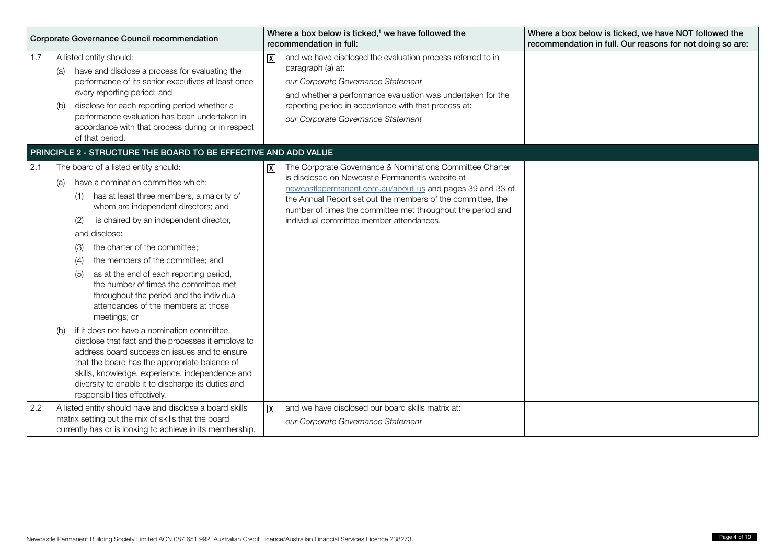| Corporate Governance Council recommendation |            | Where a box below is ticked, <sup>1</sup> we have followed the<br>recommendation in full:                                                                                                                                                                                                                                                                                                                                                                                                                                 |                | Where a box below is ticked, we have NOT followed the<br>recommendation in full. Our reasons for not doing so are:                                                                                                                                                                                                                                  |  |
|---------------------------------------------|------------|---------------------------------------------------------------------------------------------------------------------------------------------------------------------------------------------------------------------------------------------------------------------------------------------------------------------------------------------------------------------------------------------------------------------------------------------------------------------------------------------------------------------------|----------------|-----------------------------------------------------------------------------------------------------------------------------------------------------------------------------------------------------------------------------------------------------------------------------------------------------------------------------------------------------|--|
| 1.7                                         | (a)<br>(b) | A listed entity should:<br>have and disclose a process for evaluating the<br>performance of its senior executives at least once<br>every reporting period; and<br>disclose for each reporting period whether a<br>performance evaluation has been undertaken in<br>accordance with that process during or in respect<br>of that period.                                                                                                                                                                                   | $\overline{X}$ | and we have disclosed the evaluation process referred to in<br>paragraph (a) at:<br>our Corporate Governance Statement<br>and whether a performance evaluation was undertaken for the<br>reporting period in accordance with that process at:<br>our Corporate Governance Statement                                                                 |  |
|                                             |            | PRINCIPLE 2 - STRUCTURE THE BOARD TO BE EFFECTIVE AND ADD VALUE                                                                                                                                                                                                                                                                                                                                                                                                                                                           |                |                                                                                                                                                                                                                                                                                                                                                     |  |
| 2.1                                         | (a)        | The board of a listed entity should:<br>have a nomination committee which:<br>has at least three members, a majority of<br>(1)<br>whom are independent directors; and<br>is chaired by an independent director,<br>(2)<br>and disclose:<br>the charter of the committee:<br>(3)<br>the members of the committee; and<br>(4)<br>as at the end of each reporting period,<br>(5)<br>the number of times the committee met<br>throughout the period and the individual<br>attendances of the members at those<br>meetings; or | $\overline{x}$ | The Corporate Governance & Nominations Committee Charter<br>is disclosed on Newcastle Permanent's website at<br>newcastlepermanent.com.au/about-us and pages 39 and 33 of<br>the Annual Report set out the members of the committee, the<br>number of times the committee met throughout the period and<br>individual committee member attendances. |  |
|                                             |            | if it does not have a nomination committee,<br>disclose that fact and the processes it employs to<br>address board succession issues and to ensure<br>that the board has the appropriate balance of<br>skills, knowledge, experience, independence and<br>diversity to enable it to discharge its duties and<br>responsibilities effectively.                                                                                                                                                                             |                |                                                                                                                                                                                                                                                                                                                                                     |  |
| 2.2                                         |            | A listed entity should have and disclose a board skills<br>matrix setting out the mix of skills that the board<br>currently has or is looking to achieve in its membership.                                                                                                                                                                                                                                                                                                                                               | $\overline{x}$ | and we have disclosed our board skills matrix at:<br>our Corporate Governance Statement                                                                                                                                                                                                                                                             |  |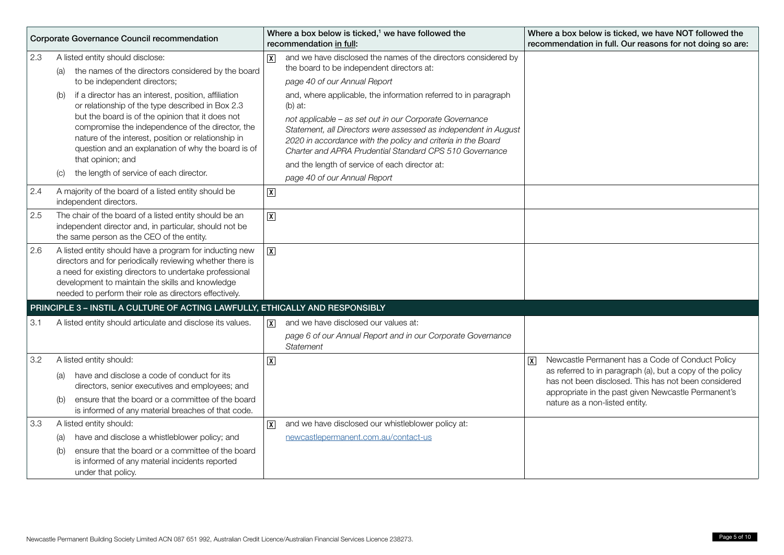| Corporate Governance Council recommendation |                                                                                                                                                                                                                                                                                                                                                                                                                 | Where a box below is ticked, <sup>1</sup> we have followed the<br>recommendation in full:                                                                                                                                                                                                                                                                                                                                                            | Where a box below is ticked, we have NOT followed the<br>recommendation in full. Our reasons for not doing so are:                                                                                                                                                  |
|---------------------------------------------|-----------------------------------------------------------------------------------------------------------------------------------------------------------------------------------------------------------------------------------------------------------------------------------------------------------------------------------------------------------------------------------------------------------------|------------------------------------------------------------------------------------------------------------------------------------------------------------------------------------------------------------------------------------------------------------------------------------------------------------------------------------------------------------------------------------------------------------------------------------------------------|---------------------------------------------------------------------------------------------------------------------------------------------------------------------------------------------------------------------------------------------------------------------|
| 2.3                                         | A listed entity should disclose:<br>the names of the directors considered by the board<br>(a)<br>to be independent directors;<br>if a director has an interest, position, affiliation<br>(b)<br>or relationship of the type described in Box 2.3<br>but the board is of the opinion that it does not<br>compromise the independence of the director, the<br>nature of the interest, position or relationship in | and we have disclosed the names of the directors considered by<br>$\overline{\mathsf{x}}$<br>the board to be independent directors at:<br>page 40 of our Annual Report<br>and, where applicable, the information referred to in paragraph<br>$(b)$ at:<br>not applicable - as set out in our Corporate Governance<br>Statement, all Directors were assessed as independent in August<br>2020 in accordance with the policy and criteria in the Board |                                                                                                                                                                                                                                                                     |
|                                             | question and an explanation of why the board is of<br>that opinion; and<br>the length of service of each director.<br>(C)                                                                                                                                                                                                                                                                                       | Charter and APRA Prudential Standard CPS 510 Governance<br>and the length of service of each director at:<br>page 40 of our Annual Report                                                                                                                                                                                                                                                                                                            |                                                                                                                                                                                                                                                                     |
| 2.4                                         | A majority of the board of a listed entity should be<br>independent directors.                                                                                                                                                                                                                                                                                                                                  | $\boxed{\text{X}}$                                                                                                                                                                                                                                                                                                                                                                                                                                   |                                                                                                                                                                                                                                                                     |
| 2.5                                         | The chair of the board of a listed entity should be an<br>independent director and, in particular, should not be<br>the same person as the CEO of the entity.                                                                                                                                                                                                                                                   | $\boxed{\text{X}}$                                                                                                                                                                                                                                                                                                                                                                                                                                   |                                                                                                                                                                                                                                                                     |
| 2.6                                         | A listed entity should have a program for inducting new<br>directors and for periodically reviewing whether there is<br>a need for existing directors to undertake professional<br>development to maintain the skills and knowledge<br>needed to perform their role as directors effectively.                                                                                                                   | $\overline{X}$                                                                                                                                                                                                                                                                                                                                                                                                                                       |                                                                                                                                                                                                                                                                     |
|                                             | PRINCIPLE 3 - INSTIL A CULTURE OF ACTING LAWFULLY, ETHICALLY AND RESPONSIBLY                                                                                                                                                                                                                                                                                                                                    |                                                                                                                                                                                                                                                                                                                                                                                                                                                      |                                                                                                                                                                                                                                                                     |
| 3.1                                         | A listed entity should articulate and disclose its values.                                                                                                                                                                                                                                                                                                                                                      | and we have disclosed our values at:<br>$\vert x \vert$<br>page 6 of our Annual Report and in our Corporate Governance<br>Statement                                                                                                                                                                                                                                                                                                                  |                                                                                                                                                                                                                                                                     |
| 3.2                                         | A listed entity should:<br>have and disclose a code of conduct for its<br>(a)<br>directors, senior executives and employees; and<br>ensure that the board or a committee of the board<br>(b)<br>is informed of any material breaches of that code.                                                                                                                                                              | $\boxed{\mathsf{X}}$                                                                                                                                                                                                                                                                                                                                                                                                                                 | Newcastle Permanent has a Code of Conduct Policy<br>ℼ<br>as referred to in paragraph (a), but a copy of the policy<br>has not been disclosed. This has not been considered<br>appropriate in the past given Newcastle Permanent's<br>nature as a non-listed entity. |
| 3.3                                         | A listed entity should:<br>have and disclose a whistleblower policy; and<br>(a)<br>ensure that the board or a committee of the board<br>(b)<br>is informed of any material incidents reported<br>under that policy.                                                                                                                                                                                             | and we have disclosed our whistleblower policy at:<br>$ \mathbf{X} $<br>newcastlepermanent.com.au/contact-us                                                                                                                                                                                                                                                                                                                                         |                                                                                                                                                                                                                                                                     |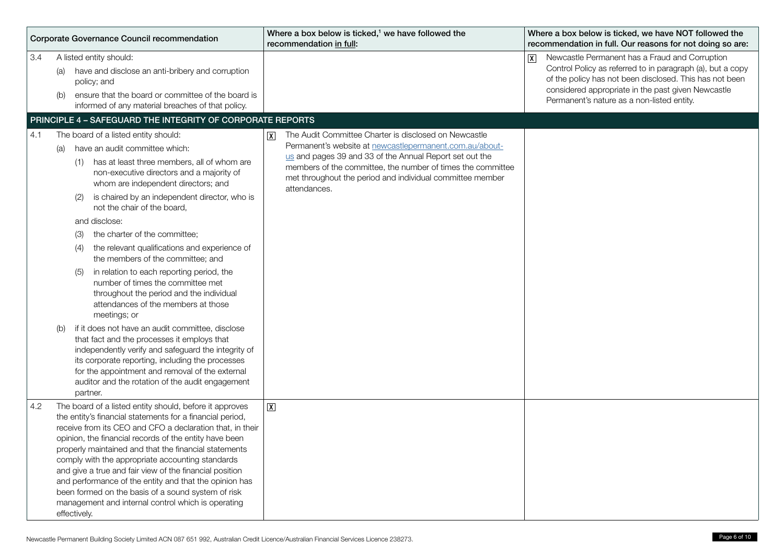|     | Corporate Governance Council recommendation                                                                                                                                                                                                                                                                                                                                                                                                                                                                                                                                                                                                   | Where a box below is ticked, <sup>1</sup> we have followed the<br>recommendation in full:                                                                                                                                                                                                                                      | Where a box below is ticked, we have NOT followed the<br>recommendation in full. Our reasons for not doing so are:                                                                                                                                                                                     |
|-----|-----------------------------------------------------------------------------------------------------------------------------------------------------------------------------------------------------------------------------------------------------------------------------------------------------------------------------------------------------------------------------------------------------------------------------------------------------------------------------------------------------------------------------------------------------------------------------------------------------------------------------------------------|--------------------------------------------------------------------------------------------------------------------------------------------------------------------------------------------------------------------------------------------------------------------------------------------------------------------------------|--------------------------------------------------------------------------------------------------------------------------------------------------------------------------------------------------------------------------------------------------------------------------------------------------------|
| 3.4 | A listed entity should:<br>have and disclose an anti-bribery and corruption<br>(a)<br>policy; and<br>ensure that the board or committee of the board is<br>(b)<br>informed of any material breaches of that policy.                                                                                                                                                                                                                                                                                                                                                                                                                           |                                                                                                                                                                                                                                                                                                                                | Newcastle Permanent has a Fraud and Corruption<br>$\overline{\mathbf{x}}$<br>Control Policy as referred to in paragraph (a), but a copy<br>of the policy has not been disclosed. This has not been<br>considered appropriate in the past given Newcastle<br>Permanent's nature as a non-listed entity. |
|     | PRINCIPLE 4 - SAFEGUARD THE INTEGRITY OF CORPORATE REPORTS                                                                                                                                                                                                                                                                                                                                                                                                                                                                                                                                                                                    |                                                                                                                                                                                                                                                                                                                                |                                                                                                                                                                                                                                                                                                        |
| 4.1 | The board of a listed entity should:<br>have an audit committee which:<br>(a)<br>(1) has at least three members, all of whom are<br>non-executive directors and a majority of<br>whom are independent directors; and<br>is chaired by an independent director, who is<br>(2)<br>not the chair of the board,<br>and disclose:<br>the charter of the committee:<br>(3)<br>the relevant qualifications and experience of<br>(4)<br>the members of the committee; and<br>in relation to each reporting period, the<br>(5)<br>number of times the committee met<br>throughout the period and the individual<br>attendances of the members at those | The Audit Committee Charter is disclosed on Newcastle<br> x <br>Permanent's website at newcastlepermanent.com.au/about-<br>us and pages 39 and 33 of the Annual Report set out the<br>members of the committee, the number of times the committee<br>met throughout the period and individual committee member<br>attendances. |                                                                                                                                                                                                                                                                                                        |
|     | meetings; or<br>if it does not have an audit committee, disclose<br>(b)<br>that fact and the processes it employs that<br>independently verify and safeguard the integrity of<br>its corporate reporting, including the processes<br>for the appointment and removal of the external<br>auditor and the rotation of the audit engagement<br>partner.                                                                                                                                                                                                                                                                                          |                                                                                                                                                                                                                                                                                                                                |                                                                                                                                                                                                                                                                                                        |
| 4.2 | The board of a listed entity should, before it approves<br>the entity's financial statements for a financial period,<br>receive from its CEO and CFO a declaration that, in their<br>opinion, the financial records of the entity have been<br>properly maintained and that the financial statements<br>comply with the appropriate accounting standards<br>and give a true and fair view of the financial position<br>and performance of the entity and that the opinion has<br>been formed on the basis of a sound system of risk<br>management and internal control which is operating<br>effectively.                                     | $\overline{\mathbf{X}}$                                                                                                                                                                                                                                                                                                        |                                                                                                                                                                                                                                                                                                        |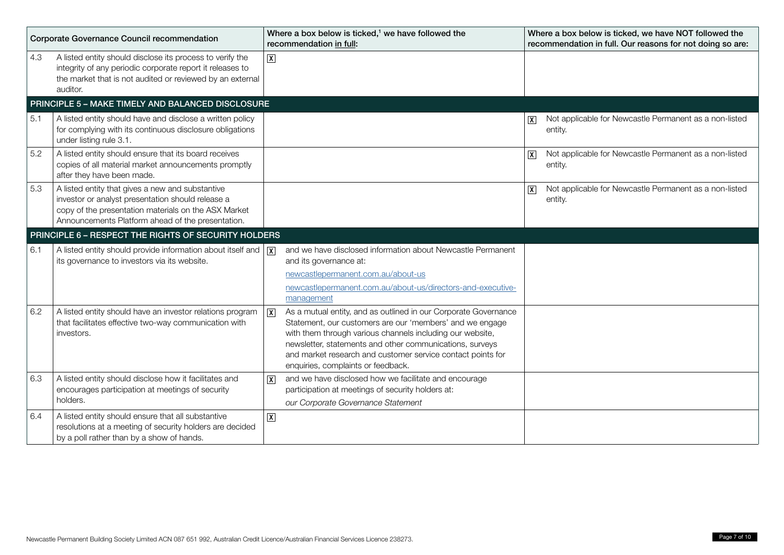| Corporate Governance Council recommendation |                                                                                                                                                                                                                    | Where a box below is ticked, <sup>1</sup> we have followed the<br>recommendation in full: |                                                                                                                                                                                                                                                                                                                                                           | Where a box below is ticked, we have NOT followed the<br>recommendation in full. Our reasons for not doing so are: |                                                                   |
|---------------------------------------------|--------------------------------------------------------------------------------------------------------------------------------------------------------------------------------------------------------------------|-------------------------------------------------------------------------------------------|-----------------------------------------------------------------------------------------------------------------------------------------------------------------------------------------------------------------------------------------------------------------------------------------------------------------------------------------------------------|--------------------------------------------------------------------------------------------------------------------|-------------------------------------------------------------------|
| 4.3                                         | A listed entity should disclose its process to verify the<br>integrity of any periodic corporate report it releases to<br>the market that is not audited or reviewed by an external<br>auditor.                    | $\boxed{\mathsf{X}}$                                                                      |                                                                                                                                                                                                                                                                                                                                                           |                                                                                                                    |                                                                   |
|                                             | PRINCIPLE 5 - MAKE TIMELY AND BALANCED DISCLOSURE                                                                                                                                                                  |                                                                                           |                                                                                                                                                                                                                                                                                                                                                           |                                                                                                                    |                                                                   |
| 5.1                                         | A listed entity should have and disclose a written policy<br>for complying with its continuous disclosure obligations<br>under listing rule 3.1.                                                                   |                                                                                           |                                                                                                                                                                                                                                                                                                                                                           |                                                                                                                    | Not applicable for Newcastle Permanent as a non-listed<br>entity. |
| 5.2                                         | A listed entity should ensure that its board receives<br>copies of all material market announcements promptly<br>after they have been made.                                                                        |                                                                                           |                                                                                                                                                                                                                                                                                                                                                           | $\vert x \vert$                                                                                                    | Not applicable for Newcastle Permanent as a non-listed<br>entity. |
| 5.3                                         | A listed entity that gives a new and substantive<br>investor or analyst presentation should release a<br>copy of the presentation materials on the ASX Market<br>Announcements Platform ahead of the presentation. |                                                                                           |                                                                                                                                                                                                                                                                                                                                                           | $\overline{\mathbf{X}}$                                                                                            | Not applicable for Newcastle Permanent as a non-listed<br>entity. |
|                                             | PRINCIPLE 6 - RESPECT THE RIGHTS OF SECURITY HOLDERS                                                                                                                                                               |                                                                                           |                                                                                                                                                                                                                                                                                                                                                           |                                                                                                                    |                                                                   |
| 6.1                                         | A listed entity should provide information about itself and $ \overline{x} $<br>its governance to investors via its website.                                                                                       |                                                                                           | and we have disclosed information about Newcastle Permanent<br>and its governance at:<br>newcastlepermanent.com.au/about-us<br>newcastlepermanent.com.au/about-us/directors-and-executive-<br>management                                                                                                                                                  |                                                                                                                    |                                                                   |
| 6.2                                         | A listed entity should have an investor relations program<br>that facilitates effective two-way communication with<br>investors.                                                                                   | $\boxed{\mathbf{X}}$                                                                      | As a mutual entity, and as outlined in our Corporate Governance<br>Statement, our customers are our 'members' and we engage<br>with them through various channels including our website,<br>newsletter, statements and other communications, surveys<br>and market research and customer service contact points for<br>enquiries, complaints or feedback. |                                                                                                                    |                                                                   |
| 6.3                                         | A listed entity should disclose how it facilitates and<br>encourages participation at meetings of security<br>holders.                                                                                             | $\overline{X}$                                                                            | and we have disclosed how we facilitate and encourage<br>participation at meetings of security holders at:<br>our Corporate Governance Statement                                                                                                                                                                                                          |                                                                                                                    |                                                                   |
| 6.4                                         | A listed entity should ensure that all substantive<br>resolutions at a meeting of security holders are decided<br>by a poll rather than by a show of hands.                                                        | $\boxed{\text{X}}$                                                                        |                                                                                                                                                                                                                                                                                                                                                           |                                                                                                                    |                                                                   |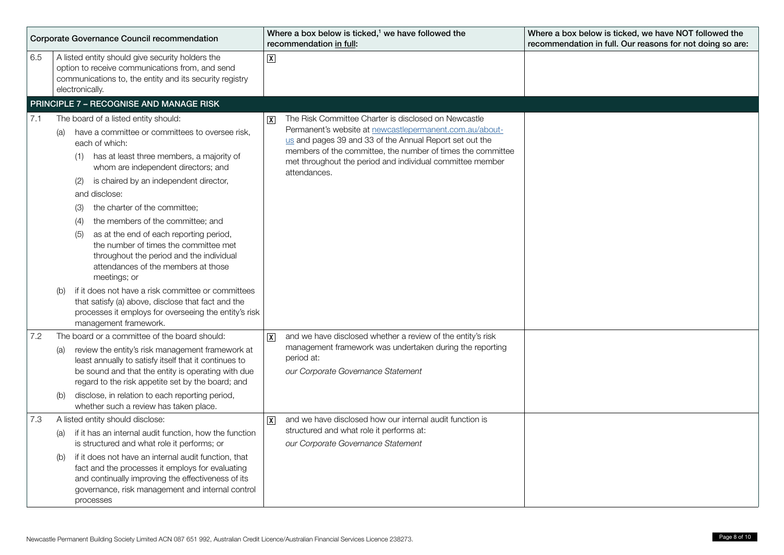| Corporate Governance Council recommendation |                                                                                                                                                                                                                                                                                                                                                                                                                                                                                                                                                                                                                                                                                    | Where a box below is ticked, <sup>1</sup> we have followed the<br>recommendation in full:                                                                                                                                                                                                                                                         | Where a box below is ticked, we have NOT followed the<br>recommendation in full. Our reasons for not doing so are: |
|---------------------------------------------|------------------------------------------------------------------------------------------------------------------------------------------------------------------------------------------------------------------------------------------------------------------------------------------------------------------------------------------------------------------------------------------------------------------------------------------------------------------------------------------------------------------------------------------------------------------------------------------------------------------------------------------------------------------------------------|---------------------------------------------------------------------------------------------------------------------------------------------------------------------------------------------------------------------------------------------------------------------------------------------------------------------------------------------------|--------------------------------------------------------------------------------------------------------------------|
| 6.5                                         | A listed entity should give security holders the<br>option to receive communications from, and send<br>communications to, the entity and its security registry<br>electronically.                                                                                                                                                                                                                                                                                                                                                                                                                                                                                                  | $\overline{X}$                                                                                                                                                                                                                                                                                                                                    |                                                                                                                    |
|                                             | PRINCIPLE 7 - RECOGNISE AND MANAGE RISK                                                                                                                                                                                                                                                                                                                                                                                                                                                                                                                                                                                                                                            |                                                                                                                                                                                                                                                                                                                                                   |                                                                                                                    |
| 7.1                                         | The board of a listed entity should:<br>have a committee or committees to oversee risk,<br>(a)<br>each of which:<br>has at least three members, a majority of<br>(1)<br>whom are independent directors; and<br>is chaired by an independent director,<br>(2)<br>and disclose:<br>the charter of the committee;<br>(3)<br>the members of the committee; and<br>(4)<br>as at the end of each reporting period,<br>(5)<br>the number of times the committee met<br>throughout the period and the individual<br>attendances of the members at those<br>meetings; or<br>if it does not have a risk committee or committees<br>(b)<br>that satisfy (a) above, disclose that fact and the | The Risk Committee Charter is disclosed on Newcastle<br>$\overline{\mathsf{x}}$<br>Permanent's website at newcastlepermanent.com.au/about-<br>us and pages 39 and 33 of the Annual Report set out the<br>members of the committee, the number of times the committee<br>met throughout the period and individual committee member<br>attendances. |                                                                                                                    |
|                                             | processes it employs for overseeing the entity's risk<br>management framework.                                                                                                                                                                                                                                                                                                                                                                                                                                                                                                                                                                                                     |                                                                                                                                                                                                                                                                                                                                                   |                                                                                                                    |
| 7.2                                         | The board or a committee of the board should:<br>review the entity's risk management framework at<br>(a)<br>least annually to satisfy itself that it continues to<br>be sound and that the entity is operating with due<br>regard to the risk appetite set by the board; and<br>disclose, in relation to each reporting period,<br>(b)<br>whether such a review has taken place.                                                                                                                                                                                                                                                                                                   | and we have disclosed whether a review of the entity's risk<br>$ \mathbf{X} $<br>management framework was undertaken during the reporting<br>period at:<br>our Corporate Governance Statement                                                                                                                                                     |                                                                                                                    |
| 7.3                                         | A listed entity should disclose:<br>if it has an internal audit function, how the function<br>(a)<br>is structured and what role it performs; or<br>if it does not have an internal audit function, that<br>(b)<br>fact and the processes it employs for evaluating<br>and continually improving the effectiveness of its<br>governance, risk management and internal control<br>processes                                                                                                                                                                                                                                                                                         | and we have disclosed how our internal audit function is<br>$\overline{X}$<br>structured and what role it performs at:<br>our Corporate Governance Statement                                                                                                                                                                                      |                                                                                                                    |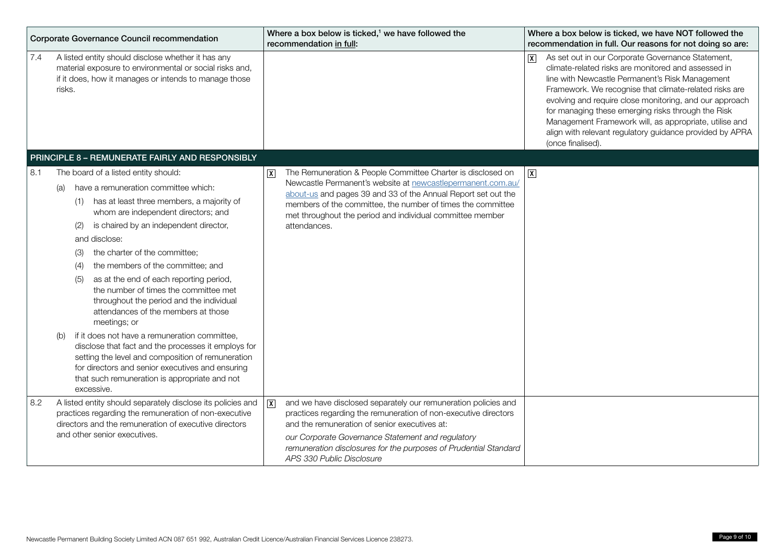| Corporate Governance Council recommendation |                                                                                                                                                                                                                                                                                                                                                                                                                                                                                                                                                                                                                                                                                                                                                                                                                        |                 | Where a box below is ticked, <sup>1</sup> we have followed the<br>recommendation in full:                                                                                                                                                                                                                                                |                         | Where a box below is ticked, we have NOT followed the<br>recommendation in full. Our reasons for not doing so are:                                                                                                                                                                                                                                                                                                                                                                |
|---------------------------------------------|------------------------------------------------------------------------------------------------------------------------------------------------------------------------------------------------------------------------------------------------------------------------------------------------------------------------------------------------------------------------------------------------------------------------------------------------------------------------------------------------------------------------------------------------------------------------------------------------------------------------------------------------------------------------------------------------------------------------------------------------------------------------------------------------------------------------|-----------------|------------------------------------------------------------------------------------------------------------------------------------------------------------------------------------------------------------------------------------------------------------------------------------------------------------------------------------------|-------------------------|-----------------------------------------------------------------------------------------------------------------------------------------------------------------------------------------------------------------------------------------------------------------------------------------------------------------------------------------------------------------------------------------------------------------------------------------------------------------------------------|
| 7.4                                         | A listed entity should disclose whether it has any<br>material exposure to environmental or social risks and,<br>if it does, how it manages or intends to manage those<br>risks.                                                                                                                                                                                                                                                                                                                                                                                                                                                                                                                                                                                                                                       |                 |                                                                                                                                                                                                                                                                                                                                          | $\overline{\mathbf{x}}$ | As set out in our Corporate Governance Statement,<br>climate-related risks are monitored and assessed in<br>line with Newcastle Permanent's Risk Management<br>Framework. We recognise that climate-related risks are<br>evolving and require close monitoring, and our approach<br>for managing these emerging risks through the Risk<br>Management Framework will, as appropriate, utilise and<br>align with relevant regulatory guidance provided by APRA<br>(once finalised). |
|                                             | PRINCIPLE 8 - REMUNERATE FAIRLY AND RESPONSIBLY                                                                                                                                                                                                                                                                                                                                                                                                                                                                                                                                                                                                                                                                                                                                                                        |                 |                                                                                                                                                                                                                                                                                                                                          |                         |                                                                                                                                                                                                                                                                                                                                                                                                                                                                                   |
| 8.1                                         | The board of a listed entity should:<br>have a remuneration committee which:<br>(a)<br>(1) has at least three members, a majority of<br>whom are independent directors; and<br>is chaired by an independent director,<br>(2)<br>and disclose:<br>the charter of the committee;<br>(3)<br>the members of the committee; and<br>(4)<br>as at the end of each reporting period,<br>(5)<br>the number of times the committee met<br>throughout the period and the individual<br>attendances of the members at those<br>meetings; or<br>if it does not have a remuneration committee,<br>(b)<br>disclose that fact and the processes it employs for<br>setting the level and composition of remuneration<br>for directors and senior executives and ensuring<br>that such remuneration is appropriate and not<br>excessive. | $\vert x \vert$ | The Remuneration & People Committee Charter is disclosed on<br>Newcastle Permanent's website at newcastlepermanent.com.au/<br>about-us and pages 39 and 33 of the Annual Report set out the<br>members of the committee, the number of times the committee<br>met throughout the period and individual committee member<br>attendances.  | $\overline{X}$          |                                                                                                                                                                                                                                                                                                                                                                                                                                                                                   |
| 8.2                                         | A listed entity should separately disclose its policies and<br>practices regarding the remuneration of non-executive<br>directors and the remuneration of executive directors<br>and other senior executives.                                                                                                                                                                                                                                                                                                                                                                                                                                                                                                                                                                                                          | $\sqrt{X}$      | and we have disclosed separately our remuneration policies and<br>practices regarding the remuneration of non-executive directors<br>and the remuneration of senior executives at:<br>our Corporate Governance Statement and regulatory<br>remuneration disclosures for the purposes of Prudential Standard<br>APS 330 Public Disclosure |                         |                                                                                                                                                                                                                                                                                                                                                                                                                                                                                   |